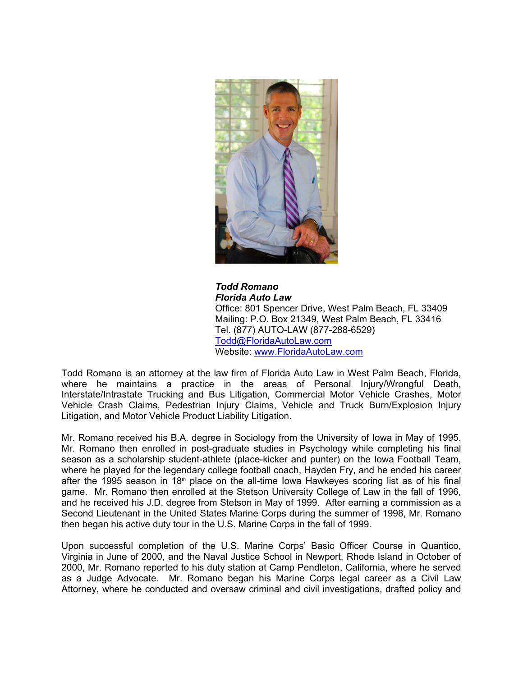

*Todd Romano Florida Auto Law* Office: 801 Spencer Drive, West Palm Beach, FL 33409 Mailing: P.O. Box 21349, West Palm Beach, FL 33416 Tel. (877) AUTO-LAW (877-288-6529) [Todd@FloridaAutoLaw.com](mailto:Todd@FloridaAutoLaw.com) Website: [www.FloridaAutoLaw.com](http://www.FloridaAutoLaw.com)

Todd Romano is an attorney at the law firm of Florida Auto Law in West Palm Beach, Florida, where he maintains a practice in the areas of Personal Injury/Wrongful Death, Interstate/Intrastate Trucking and Bus Litigation, Commercial Motor Vehicle Crashes, Motor Vehicle Crash Claims, Pedestrian Injury Claims, Vehicle and Truck Burn/Explosion Injury Litigation, and Motor Vehicle Product Liability Litigation.

Mr. Romano received his B.A. degree in Sociology from the University of Iowa in May of 1995. Mr. Romano then enrolled in post-graduate studies in Psychology while completing his final season as a scholarship student-athlete (place-kicker and punter) on the Iowa Football Team, where he played for the legendary college football coach, Hayden Fry, and he ended his career after the 1995 season in 18<sup>th</sup> place on the all-time Iowa Hawkeyes scoring list as of his final game. Mr. Romano then enrolled at the Stetson University College of Law in the fall of 1996, and he received his J.D. degree from Stetson in May of 1999. After earning a commission as a Second Lieutenant in the United States Marine Corps during the summer of 1998, Mr. Romano then began his active duty tour in the U.S. Marine Corps in the fall of 1999.

Upon successful completion of the U.S. Marine Corps' Basic Officer Course in Quantico, Virginia in June of 2000, and the Naval Justice School in Newport, Rhode Island in October of 2000, Mr. Romano reported to his duty station at Camp Pendleton, California, where he served as a Judge Advocate. Mr. Romano began his Marine Corps legal career as a Civil Law Attorney, where he conducted and oversaw criminal and civil investigations, drafted policy and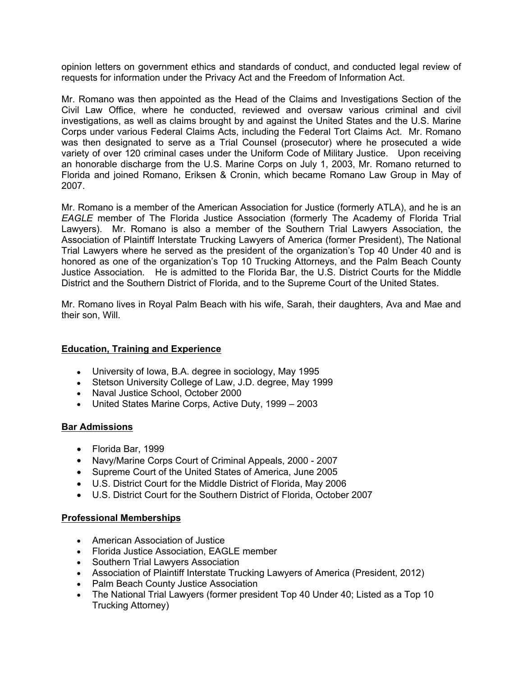opinion letters on government ethics and standards of conduct, and conducted legal review of requests for information under the Privacy Act and the Freedom of Information Act.

Mr. Romano was then appointed as the Head of the Claims and Investigations Section of the Civil Law Office, where he conducted, reviewed and oversaw various criminal and civil investigations, as well as claims brought by and against the United States and the U.S. Marine Corps under various Federal Claims Acts, including the Federal Tort Claims Act. Mr. Romano was then designated to serve as a Trial Counsel (prosecutor) where he prosecuted a wide variety of over 120 criminal cases under the Uniform Code of Military Justice. Upon receiving an honorable discharge from the U.S. Marine Corps on July 1, 2003, Mr. Romano returned to Florida and joined Romano, Eriksen & Cronin, which became Romano Law Group in May of 2007.

Mr. Romano is a member of the American Association for Justice (formerly ATLA), and he is an *EAGLE* member of The Florida Justice Association (formerly The Academy of Florida Trial Lawyers). Mr. Romano is also a member of the Southern Trial Lawyers Association, the Association of Plaintiff Interstate Trucking Lawyers of America (former President), The National Trial Lawyers where he served as the president of the organization's Top 40 Under 40 and is honored as one of the organization's Top 10 Trucking Attorneys, and the Palm Beach County Justice Association. He is admitted to the Florida Bar, the U.S. District Courts for the Middle District and the Southern District of Florida, and to the Supreme Court of the United States.

Mr. Romano lives in Royal Palm Beach with his wife, Sarah, their daughters, Ava and Mae and their son, Will.

## **Education, Training and Experience**

- University of Iowa, B.A. degree in sociology, May 1995
- Stetson University College of Law, J.D. degree, May 1999
- Naval Justice School, October 2000
- United States Marine Corps, Active Duty, 1999 2003

#### **Bar Admissions**

- Florida Bar, 1999
- Navy/Marine Corps Court of Criminal Appeals, 2000 2007
- Supreme Court of the United States of America, June 2005
- U.S. District Court for the Middle District of Florida, May 2006
- U.S. District Court for the Southern District of Florida, October 2007

#### **Professional Memberships**

- American Association of Justice
- Florida Justice Association, EAGLE member
- Southern Trial Lawyers Association
- Association of Plaintiff Interstate Trucking Lawyers of America (President, 2012)
- Palm Beach County Justice Association
- The National Trial Lawyers (former president Top 40 Under 40; Listed as a Top 10 Trucking Attorney)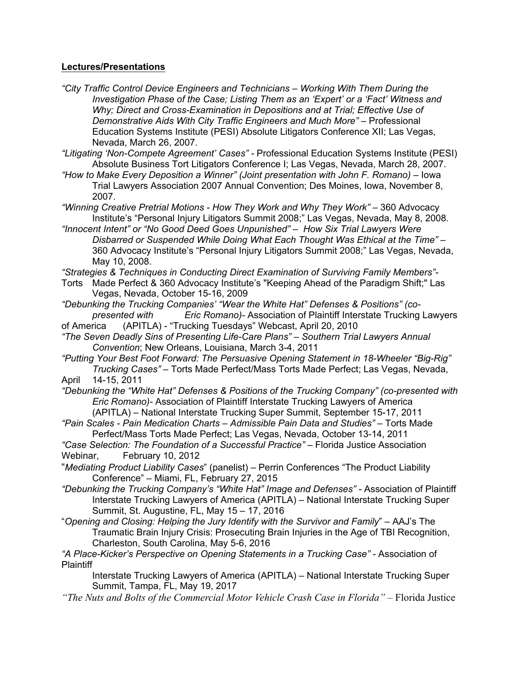### **Lectures/Presentations**

- *"City Traffic Control Device Engineers and Technicians Working With Them During the Investigation Phase of the Case; Listing Them as an 'Expert' or a 'Fact' Witness and Why; Direct and Cross-Examination in Depositions and at Trial; Effective Use of Demonstrative Aids With City Traffic Engineers and Much More"* – Professional Education Systems Institute (PESI) Absolute Litigators Conference XII; Las Vegas, Nevada, March 26, 2007.
- *"Litigating 'Non-Compete Agreement' Cases"* Professional Education Systems Institute (PESI) Absolute Business Tort Litigators Conference I; Las Vegas, Nevada, March 28, 2007.
- *"How to Make Every Deposition a Winner" (Joint presentation with John F. Romano)*  Iowa Trial Lawyers Association 2007 Annual Convention; Des Moines, Iowa, November 8, 2007.

*"Winning Creative Pretrial Motions - How They Work and Why They Work" –* 360 Advocacy Institute's "Personal Injury Litigators Summit 2008;" Las Vegas, Nevada, May 8, 2008.

*"Innocent Intent" or "No Good Deed Goes Unpunished" – How Six Trial Lawyers Were Disbarred or Suspended While Doing What Each Thought Was Ethical at the Time" –*  360 Advocacy Institute's "Personal Injury Litigators Summit 2008;" Las Vegas, Nevada, May 10, 2008.

*"Strategies & Techniques in Conducting Direct Examination of Surviving Family Members"-* 

- Torts Made Perfect & 360 Advocacy Institute's "Keeping Ahead of the Paradigm Shift;" Las Vegas, Nevada, October 15-16, 2009
- *"Debunking the Trucking Companies' "Wear the White Hat" Defenses & Positions" (copresented with Eric Romano)-* Association of Plaintiff Interstate Trucking Lawyers
- of America (APITLA) "Trucking Tuesdays" Webcast, April 20, 2010
- *"The Seven Deadly Sins of Presenting Life-Care Plans" Southern Trial Lawyers Annual Convention*; New Orleans, Louisiana, March 3-4, 2011
- *"Putting Your Best Foot Forward: The Persuasive Opening Statement in 18-Wheeler "Big-Rig" Trucking Cases" –* Torts Made Perfect/Mass Torts Made Perfect; Las Vegas, Nevada, April 14-15, 2011
- *"Debunking the "White Hat" Defenses & Positions of the Trucking Company" (co-presented with Eric Romano)-* Association of Plaintiff Interstate Trucking Lawyers of America (APITLA) – National Interstate Trucking Super Summit, September 15-17, 2011
- *"Pain Scales Pain Medication Charts Admissible Pain Data and Studies"* Torts Made Perfect/Mass Torts Made Perfect; Las Vegas, Nevada, October 13-14, 2011
- *"Case Selection: The Foundation of a Successful Practice"* Florida Justice Association Webinar, February 10, 2012
- "*Mediating Product Liability Cases*" (panelist) Perrin Conferences "The Product Liability Conference" – Miami, FL, February 27, 2015
- "Debunking the Trucking Company's "White Hat" Image and Defenses" Association of Plaintiff Interstate Trucking Lawyers of America (APITLA) – National Interstate Trucking Super Summit, St. Augustine, FL, May 15 – 17, 2016
- "*Opening and Closing: Helping the Jury Identify with the Survivor and Family*" AAJ's The Traumatic Brain Injury Crisis: Prosecuting Brain Injuries in the Age of TBI Recognition, Charleston, South Carolina, May 5-6, 2016

"A Place-Kicker's Perspective on Opening Statements in a Trucking Case" - Association of **Plaintiff** 

Interstate Trucking Lawyers of America (APITLA) – National Interstate Trucking Super Summit, Tampa, FL, May 19, 2017

*"The Nuts and Bolts of the Commercial Motor Vehicle Crash Case in Florida"* – Florida Justice